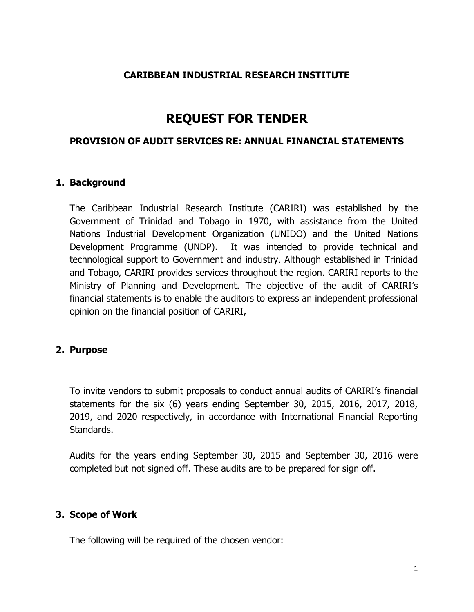## **CARIBBEAN INDUSTRIAL RESEARCH INSTITUTE**

# **REQUEST FOR TENDER**

#### **PROVISION OF AUDIT SERVICES RE: ANNUAL FINANCIAL STATEMENTS**

#### **1. Background**

The Caribbean Industrial Research Institute (CARIRI) was established by the Government of Trinidad and Tobago in 1970, with assistance from the United Nations Industrial Development Organization (UNIDO) and the United Nations Development Programme (UNDP). It was intended to provide technical and technological support to Government and industry. Although established in Trinidad and Tobago, CARIRI provides services throughout the region. CARIRI reports to the Ministry of Planning and Development. The objective of the audit of CARIRI's financial statements is to enable the auditors to express an independent professional opinion on the financial position of CARIRI,

#### **2. Purpose**

To invite vendors to submit proposals to conduct annual audits of CARIRI's financial statements for the six (6) years ending September 30, 2015, 2016, 2017, 2018, 2019, and 2020 respectively, in accordance with International Financial Reporting Standards.

Audits for the years ending September 30, 2015 and September 30, 2016 were completed but not signed off. These audits are to be prepared for sign off.

#### **3. Scope of Work**

The following will be required of the chosen vendor: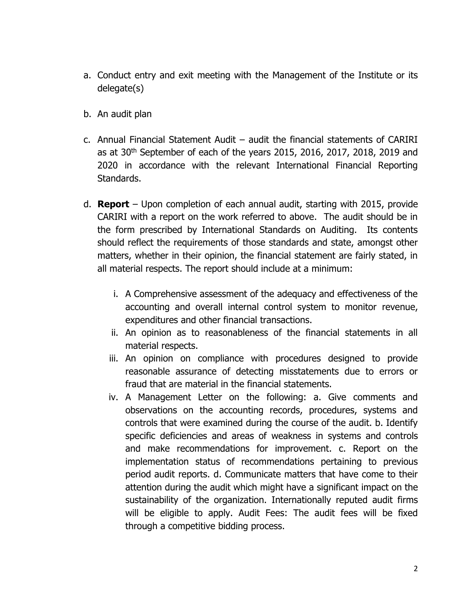- a. Conduct entry and exit meeting with the Management of the Institute or its delegate(s)
- b. An audit plan
- c. Annual Financial Statement Audit audit the financial statements of CARIRI as at 30<sup>th</sup> September of each of the years 2015, 2016, 2017, 2018, 2019 and 2020 in accordance with the relevant International Financial Reporting Standards.
- d. **Report** Upon completion of each annual audit, starting with 2015, provide CARIRI with a report on the work referred to above. The audit should be in the form prescribed by International Standards on Auditing. Its contents should reflect the requirements of those standards and state, amongst other matters, whether in their opinion, the financial statement are fairly stated, in all material respects. The report should include at a minimum:
	- i. A Comprehensive assessment of the adequacy and effectiveness of the accounting and overall internal control system to monitor revenue, expenditures and other financial transactions.
	- ii. An opinion as to reasonableness of the financial statements in all material respects.
	- iii. An opinion on compliance with procedures designed to provide reasonable assurance of detecting misstatements due to errors or fraud that are material in the financial statements.
	- iv. A Management Letter on the following: a. Give comments and observations on the accounting records, procedures, systems and controls that were examined during the course of the audit. b. Identify specific deficiencies and areas of weakness in systems and controls and make recommendations for improvement. c. Report on the implementation status of recommendations pertaining to previous period audit reports. d. Communicate matters that have come to their attention during the audit which might have a significant impact on the sustainability of the organization. Internationally reputed audit firms will be eligible to apply. Audit Fees: The audit fees will be fixed through a competitive bidding process.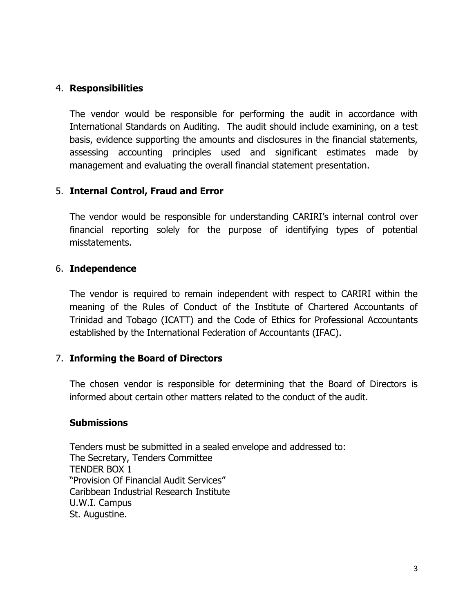## 4. **Responsibilities**

The vendor would be responsible for performing the audit in accordance with International Standards on Auditing. The audit should include examining, on a test basis, evidence supporting the amounts and disclosures in the financial statements, assessing accounting principles used and significant estimates made by management and evaluating the overall financial statement presentation.

## 5. **Internal Control, Fraud and Error**

The vendor would be responsible for understanding CARIRI's internal control over financial reporting solely for the purpose of identifying types of potential misstatements.

#### 6. **Independence**

The vendor is required to remain independent with respect to CARIRI within the meaning of the Rules of Conduct of the Institute of Chartered Accountants of Trinidad and Tobago (ICATT) and the Code of Ethics for Professional Accountants established by the International Federation of Accountants (IFAC).

#### 7. **Informing the Board of Directors**

The chosen vendor is responsible for determining that the Board of Directors is informed about certain other matters related to the conduct of the audit.

#### **Submissions**

Tenders must be submitted in a sealed envelope and addressed to: The Secretary, Tenders Committee TENDER BOX 1 "Provision Of Financial Audit Services" Caribbean Industrial Research Institute U.W.I. Campus St. Augustine.